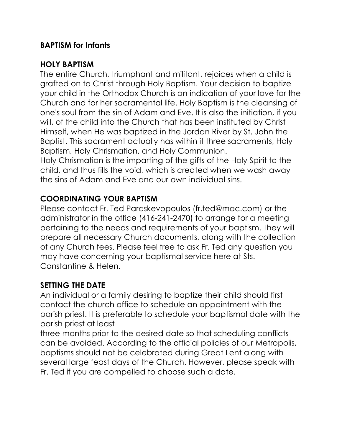### **BAPTISM for Infants**

#### **HOLY BAPTISM**

The entire Church, triumphant and militant, rejoices when a child is grafted on to Christ through Holy Baptism. Your decision to baptize your child in the Orthodox Church is an indication of your love for the Church and for her sacramental life. Holy Baptism is the cleansing of one's soul from the sin of Adam and Eve. It is also the initiation, if you will, of the child into the Church that has been instituted by Christ Himself, when He was baptized in the Jordan River by St. John the Baptist. This sacrament actually has within it three sacraments, Holy Baptism, Holy Chrismation, and Holy Communion.

Holy Chrismation is the imparting of the gifts of the Holy Spirit to the child, and thus fills the void, which is created when we wash away the sins of Adam and Eve and our own individual sins.

### **COORDINATING YOUR BAPTISM**

Please contact Fr. Ted Paraskevopoulos (fr.ted@mac.com) or the administrator in the office (416-241-2470) to arrange for a meeting pertaining to the needs and requirements of your baptism. They will prepare all necessary Church documents, along with the collection of any Church fees. Please feel free to ask Fr. Ted any question you may have concerning your baptismal service here at Sts. Constantine & Helen.

#### **SETTING THE DATE**

An individual or a family desiring to baptize their child should first contact the church office to schedule an appointment with the parish priest. It is preferable to schedule your baptismal date with the parish priest at least

three months prior to the desired date so that scheduling conflicts can be avoided. According to the official policies of our Metropolis, baptisms should not be celebrated during Great Lent along with several large feast days of the Church. However, please speak with Fr. Ted if you are compelled to choose such a date.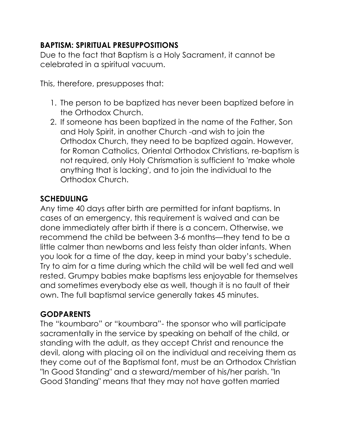## **BAPTISM: SPIRITUAL PRESUPPOSITIONS**

Due to the fact that Baptism is a Holy Sacrament, it cannot be celebrated in a spiritual vacuum.

This, therefore, presupposes that:

- 1. The person to be baptized has never been baptized before in the Orthodox Church.
- 2. If someone has been baptized in the name of the Father, Son and Holy Spirit, in another Church -and wish to join the Orthodox Church, they need to be baptized again. However, for Roman Catholics, Oriental Orthodox Christians, re-baptism is not required, only Holy Chrismation is sufficient to 'make whole anything that is lacking', and to join the individual to the Orthodox Church.

# **SCHEDULING**

Any time 40 days after birth are permitted for infant baptisms. In cases of an emergency, this requirement is waived and can be done immediately after birth if there is a concern. Otherwise, we recommend the child be between 3-6 months—they tend to be a little calmer than newborns and less feisty than older infants. When you look for a time of the day, keep in mind your baby's schedule. Try to aim for a time during which the child will be well fed and well rested. Grumpy babies make baptisms less enjoyable for themselves and sometimes everybody else as well, though it is no fault of their own. The full baptismal service generally takes 45 minutes.

### **GODPARENTS**

The "koumbaro" or "koumbara"- the sponsor who will participate sacramentally in the service by speaking on behalf of the child, or standing with the adult, as they accept Christ and renounce the devil, along with placing oil on the individual and receiving them as they come out of the Baptismal font, must be an Orthodox Christian "In Good Standing" and a steward/member of his/her parish. "In Good Standing" means that they may not have gotten married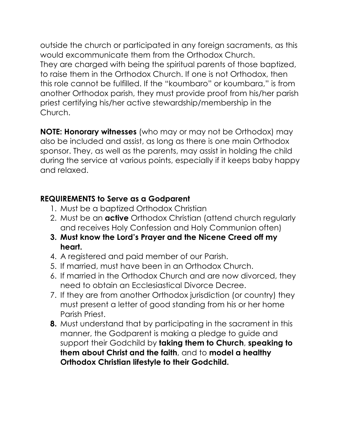outside the church or participated in any foreign sacraments, as this would excommunicate them from the Orthodox Church. They are charged with being the spiritual parents of those baptized, to raise them in the Orthodox Church. If one is not Orthodox, then this role cannot be fulfilled. If the "koumbaro" or koumbara," is from another Orthodox parish, they must provide proof from his/her parish priest certifying his/her active stewardship/membership in the Church.

**NOTE: Honorary witnesses** (who may or may not be Orthodox) may also be included and assist, as long as there is one main Orthodox sponsor. They, as well as the parents, may assist in holding the child during the service at various points, especially if it keeps baby happy and relaxed.

## **REQUIREMENTS to Serve as a Godparent**

- 1. Must be a baptized Orthodox Christian
- 2. Must be an **active** Orthodox Christian (attend church regularly and receives Holy Confession and Holy Communion often)
- **3. Must know the Lord's Prayer and the Nicene Creed off my heart.**
- 4. A registered and paid member of our Parish.
- 5. If married, must have been in an Orthodox Church.
- 6. If married in the Orthodox Church and are now divorced, they need to obtain an Ecclesiastical Divorce Decree.
- 7. If they are from another Orthodox jurisdiction (or country) they must present a letter of good standing from his or her home Parish Priest.
- **8.** Must understand that by participating in the sacrament in this manner, the Godparent is making a pledge to guide and support their Godchild by **taking them to Church**, **speaking to them about Christ and the faith**, and to **model a healthy Orthodox Christian lifestyle to their Godchild.**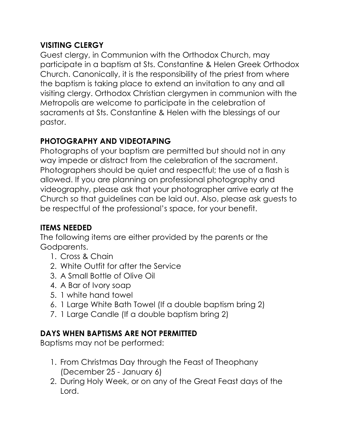## **VISITING CLERGY**

Guest clergy, in Communion with the Orthodox Church, may participate in a baptism at Sts. Constantine & Helen Greek Orthodox Church. Canonically, it is the responsibility of the priest from where the baptism is taking place to extend an invitation to any and all visiting clergy. Orthodox Christian clergymen in communion with the Metropolis are welcome to participate in the celebration of sacraments at Sts. Constantine & Helen with the blessings of our pastor.

# **PHOTOGRAPHY AND VIDEOTAPING**

Photographs of your baptism are permitted but should not in any way impede or distract from the celebration of the sacrament. Photographers should be quiet and respectful; the use of a flash is allowed. If you are planning on professional photography and videography, please ask that your photographer arrive early at the Church so that guidelines can be laid out. Also, please ask guests to be respectful of the professional's space, for your benefit.

# **ITEMS NEEDED**

The following items are either provided by the parents or the Godparents.

- 1. Cross & Chain
- 2. White Outfit for after the Service
- 3. A Small Bottle of Olive Oil
- 4. A Bar of Ivory soap
- 5. 1 white hand towel
- 6. 1 Large White Bath Towel (If a double baptism bring 2)
- 7. 1 Large Candle (If a double baptism bring 2)

# **DAYS WHEN BAPTISMS ARE NOT PERMITTED**

Baptisms may not be performed:

- 1. From Christmas Day through the Feast of Theophany (December 25 - January 6)
- 2. During Holy Week, or on any of the Great Feast days of the Lord.